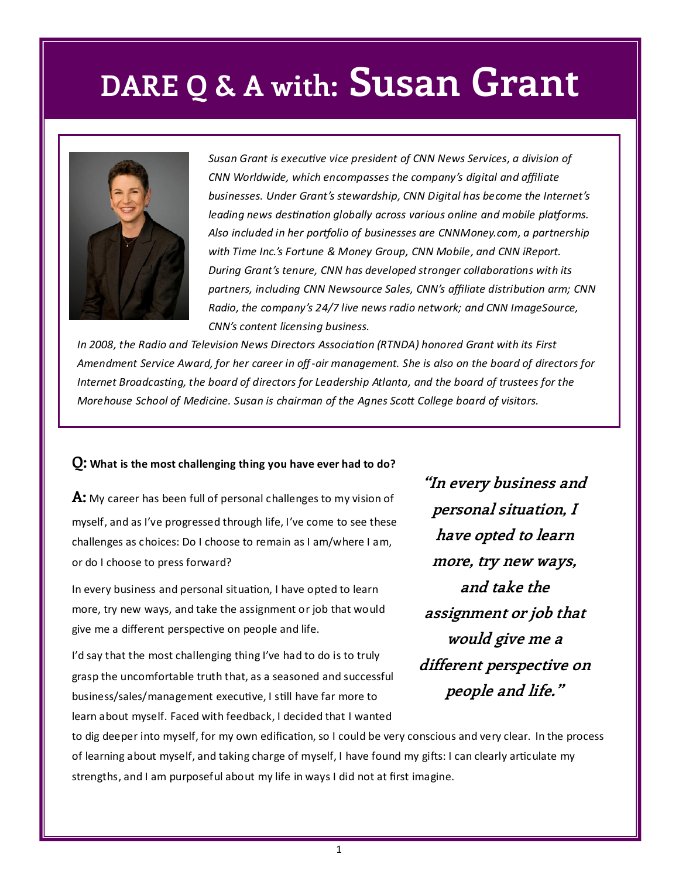## **DARE Q & A with: Susan Grant**



*Susan Grant is executive vice president of CNN News Services, a division of CNN Worldwide, which encompasses the company's digital and affiliate businesses. Under Grant's stewardship, CNN Digital has become the Internet's leading news destination globally across various online and mobile platforms. Also included in her portfolio of businesses are CNNMoney.com, a partnership with Time Inc.'s Fortune & Money Group, CNN Mobile, and CNN iReport. During Grant's tenure, CNN has developed stronger collaborations with its partners, including CNN Newsource Sales, CNN's affiliate distribution arm; CNN Radio, the company's 24/7 live news radio network; and CNN ImageSource, CNN's content licensing business.* 

*In 2008, the Radio and Television News Directors Association (RTNDA) honored Grant with its First Amendment Service Award, for her career in off-air management. She is also on the board of directors for Internet Broadcasting, the board of directors for Leadership Atlanta, and the board of trustees for the Morehouse School of Medicine. Susan is chairman of the Agnes Scott College board of visitors.* 

#### **Q: What is the most challenging thing you have ever had to do?**

**A:** My career has been full of personal challenges to my vision of myself, and as I've progressed through life, I've come to see these challenges as choices: Do I choose to remain as I am/where I am, or do I choose to press forward?

In every business and personal situation, I have opted to learn more, try new ways, and take the assignment or job that would give me a different perspective on people and life.

I'd say that the most challenging thing I've had to do is to truly grasp the uncomfortable truth that, as a seasoned and successful business/sales/management executive, I still have far more to learn about myself. Faced with feedback, I decided that I wanted

**"In every business and personal situation, I have opted to learn more, try new ways, and take the assignment or job that would give me a different perspective on people and life."**

to dig deeper into myself, for my own edification, so I could be very conscious and very clear. In the process of learning about myself, and taking charge of myself, I have found my gifts: I can clearly articulate my strengths, and I am purposeful about my life in ways I did not at first imagine.